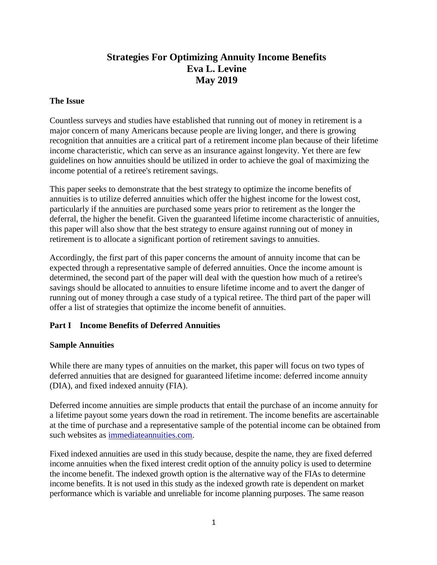# **Strategies For Optimizing Annuity Income Benefits Eva L. Levine May 2019**

#### **The Issue**

Countless surveys and studies have established that running out of money in retirement is a major concern of many Americans because people are living longer, and there is growing recognition that annuities are a critical part of a retirement income plan because of their lifetime income characteristic, which can serve as an insurance against longevity. Yet there are few guidelines on how annuities should be utilized in order to achieve the goal of maximizing the income potential of a retiree's retirement savings.

This paper seeks to demonstrate that the best strategy to optimize the income benefits of annuities is to utilize deferred annuities which offer the highest income for the lowest cost, particularly if the annuities are purchased some years prior to retirement as the longer the deferral, the higher the benefit. Given the guaranteed lifetime income characteristic of annuities, this paper will also show that the best strategy to ensure against running out of money in retirement is to allocate a significant portion of retirement savings to annuities.

Accordingly, the first part of this paper concerns the amount of annuity income that can be expected through a representative sample of deferred annuities. Once the income amount is determined, the second part of the paper will deal with the question how much of a retiree's savings should be allocated to annuities to ensure lifetime income and to avert the danger of running out of money through a case study of a typical retiree. The third part of the paper will offer a list of strategies that optimize the income benefit of annuities.

### **Part I Income Benefits of Deferred Annuities**

### **Sample Annuities**

While there are many types of annuities on the market, this paper will focus on two types of deferred annuities that are designed for guaranteed lifetime income: deferred income annuity (DIA), and fixed indexed annuity (FIA).

Deferred income annuities are simple products that entail the purchase of an income annuity for a lifetime payout some years down the road in retirement. The income benefits are ascertainable at the time of purchase and a representative sample of the potential income can be obtained from such websites as [immediateannuities.com.](http://immediateannuities.com/)

Fixed indexed annuities are used in this study because, despite the name, they are fixed deferred income annuities when the fixed interest credit option of the annuity policy is used to determine the income benefit. The indexed growth option is the alternative way of the FIAs to determine income benefits. It is not used in this study as the indexed growth rate is dependent on market performance which is variable and unreliable for income planning purposes. The same reason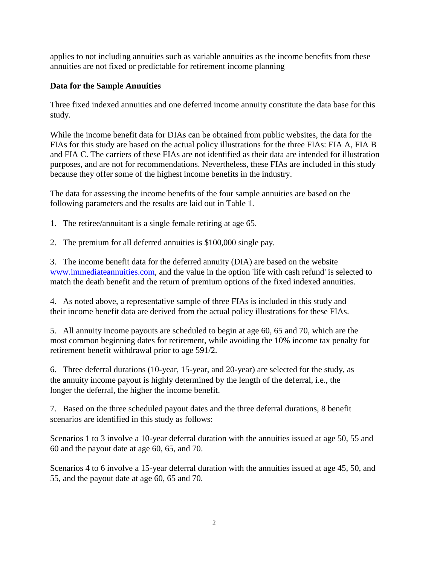applies to not including annuities such as variable annuities as the income benefits from these annuities are not fixed or predictable for retirement income planning

# **Data for the Sample Annuities**

Three fixed indexed annuities and one deferred income annuity constitute the data base for this study.

While the income benefit data for DIAs can be obtained from public websites, the data for the FIAs for this study are based on the actual policy illustrations for the three FIAs: FIA A, FIA B and FIA C. The carriers of these FIAs are not identified as their data are intended for illustration purposes, and are not for recommendations. Nevertheless, these FIAs are included in this study because they offer some of the highest income benefits in the industry.

The data for assessing the income benefits of the four sample annuities are based on the following parameters and the results are laid out in Table 1.

1. The retiree/annuitant is a single female retiring at age 65.

2. The premium for all deferred annuities is \$100,000 single pay.

3. The income benefit data for the deferred annuity (DIA) are based on the website [www.immediateannuities.com,](http://www.immediateannuities.com/) and the value in the option 'life with cash refund' is selected to match the death benefit and the return of premium options of the fixed indexed annuities.

4. As noted above, a representative sample of three FIAs is included in this study and their income benefit data are derived from the actual policy illustrations for these FIAs.

5. All annuity income payouts are scheduled to begin at age 60, 65 and 70, which are the most common beginning dates for retirement, while avoiding the 10% income tax penalty for retirement benefit withdrawal prior to age 591/2.

6. Three deferral durations (10-year, 15-year, and 20-year) are selected for the study, as the annuity income payout is highly determined by the length of the deferral, i.e., the longer the deferral, the higher the income benefit.

7. Based on the three scheduled payout dates and the three deferral durations, 8 benefit scenarios are identified in this study as follows:

Scenarios 1 to 3 involve a 10-year deferral duration with the annuities issued at age 50, 55 and 60 and the payout date at age 60, 65, and 70.

Scenarios 4 to 6 involve a 15-year deferral duration with the annuities issued at age 45, 50, and 55, and the payout date at age 60, 65 and 70.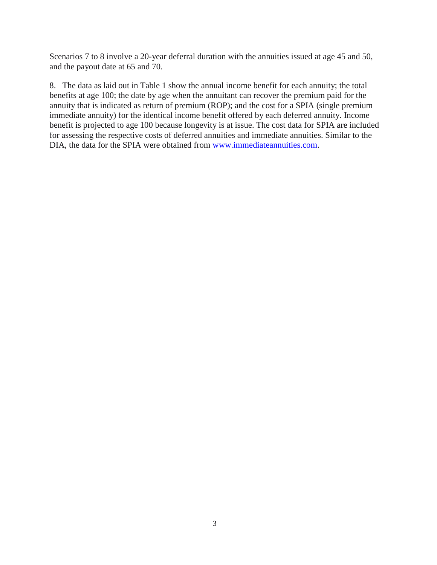Scenarios 7 to 8 involve a 20-year deferral duration with the annuities issued at age 45 and 50, and the payout date at 65 and 70.

8. The data as laid out in Table 1 show the annual income benefit for each annuity; the total benefits at age 100; the date by age when the annuitant can recover the premium paid for the annuity that is indicated as return of premium (ROP); and the cost for a SPIA (single premium immediate annuity) for the identical income benefit offered by each deferred annuity. Income benefit is projected to age 100 because longevity is at issue. The cost data for SPIA are included for assessing the respective costs of deferred annuities and immediate annuities. Similar to the DIA, the data for the SPIA were obtained from [www.immediateannuities.com.](http://www.immediateannuities.com/)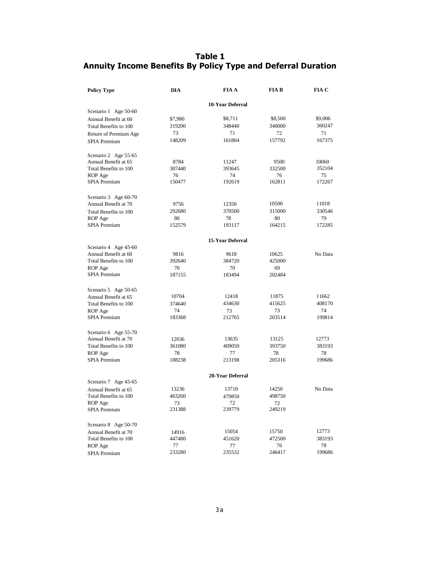# **Table 1 Annuity Income Benefits By Policy Type and Deferral Duration**

| <b>Policy Type</b>    | <b>DIA</b>              | <b>FIA A</b>     | <b>FIA B</b> | FIA C   |  |  |  |  |
|-----------------------|-------------------------|------------------|--------------|---------|--|--|--|--|
|                       | <b>10-Year Deferral</b> |                  |              |         |  |  |  |  |
| Scenario 1 Age 50-60  |                         |                  |              |         |  |  |  |  |
| Annual Benefit at 60  | \$7,980                 | \$8,711          | \$8,500      | \$9,006 |  |  |  |  |
| Total Benefits to 100 | 319200                  | 348440           | 340000       | 360247  |  |  |  |  |
| Return of Premium Age | 73                      | 71               | 72           | 71      |  |  |  |  |
| SPIA Premium          | 148209                  | 161804           | 157792       | 167375  |  |  |  |  |
| Scenario 2 Age 55-65  |                         |                  |              |         |  |  |  |  |
| Annual Benefit at 65  | 8784                    | 11247            | 9500         | 10060   |  |  |  |  |
| Total Benefits to 100 | 307440                  | 393645           | 332500       | 352104  |  |  |  |  |
| ROP Age               | 76                      | 74               | 76           | 75      |  |  |  |  |
| SPIA Premium          | 150477                  | 192619           | 162811       | 172267  |  |  |  |  |
| Scenario 3 Age 60-70  |                         |                  |              |         |  |  |  |  |
| Annual Benefit at 70  | 9756                    | 12350            | 10500        | 11018   |  |  |  |  |
| Total Benefits to 100 | 292680                  | 370500           | 315000       | 330546  |  |  |  |  |
| ROP Age               | 80                      | 78               | 80           | 79      |  |  |  |  |
| SPIA Premium          | 152579                  | 193117           | 164215       | 172285  |  |  |  |  |
|                       |                         | 15-Year Deferral |              |         |  |  |  |  |
| Scenario 4 Age 45-60  |                         |                  |              |         |  |  |  |  |
| Annual Benefit at 60  | 9816                    | 9618             | 10625        | No Data |  |  |  |  |
| Total Benefits to 100 | 392640                  | 384720           | 425000       |         |  |  |  |  |
| ROP Age               | 70                      | 70               | 69           |         |  |  |  |  |
| SPIA Premium          | 187155                  | 183494           | 202484       |         |  |  |  |  |
| Scenario 5 Age 50-65  |                         |                  |              |         |  |  |  |  |
| Annual Benefit at 65  | 10704                   | 12418            | 11875        | 11662   |  |  |  |  |
| Total Benefits to 100 | 374640                  | 434630           | 415625       | 408170  |  |  |  |  |
| ROP Age               | 74                      | 73               | 73           | 74      |  |  |  |  |
| <b>SPIA Premium</b>   | 183368                  | 212765           | 203514       | 199814  |  |  |  |  |
| Scenario 6 Age 55-70  |                         |                  |              |         |  |  |  |  |
| Annual Benefit at 70  | 12036                   | 13635            | 13125        | 12773   |  |  |  |  |
| Total Benefits to 100 | 361080                  | 409050           | 393750       | 383193  |  |  |  |  |
| ROP Age               | 78                      | 77               | 78           | 78      |  |  |  |  |
| <b>SPIA Premium</b>   | 188238                  | 213198           | 205316       | 199686  |  |  |  |  |
|                       | 20-Year Deferral        |                  |              |         |  |  |  |  |
| Scenario 7 Age 45-65  |                         |                  |              |         |  |  |  |  |
| Annual Benefit at 65  | 13236                   | 13710            | 14250        | No Data |  |  |  |  |
| Total Benefits to 100 | 463260                  | 479850           | 498750       |         |  |  |  |  |
| ROP Age               | 73                      | 72               | 72           |         |  |  |  |  |
| <b>SPIA Premium</b>   | 231388                  | 239779           | 249219       |         |  |  |  |  |
| Scenario 8 Age 50-70  |                         |                  |              |         |  |  |  |  |
| Annual Benefit at 70  | 14916                   | 15054            | 15750        | 12773   |  |  |  |  |
| Total Benefits to 100 | 447480                  | 451620           | 472500       | 383193  |  |  |  |  |
| ROP Age               | 77                      | 77               | 76           | 78      |  |  |  |  |
| SPIA Premium          | 233280                  | 235532           | 246417       | 199686  |  |  |  |  |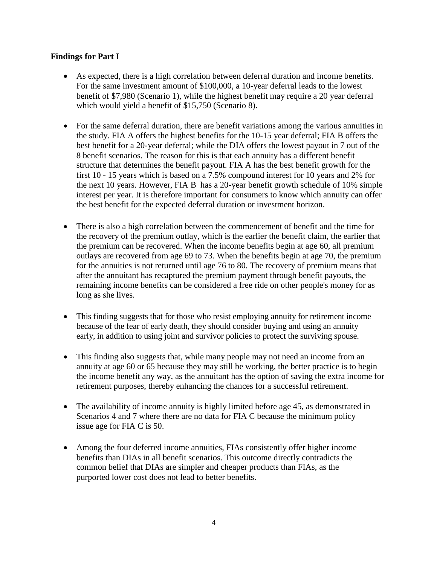#### **Findings for Part I**

- As expected, there is a high correlation between deferral duration and income benefits. For the same investment amount of \$100,000, a 10-year deferral leads to the lowest benefit of \$7,980 (Scenario 1), while the highest benefit may require a 20 year deferral which would yield a benefit of \$15,750 (Scenario 8).
- For the same deferral duration, there are benefit variations among the various annuities in the study. FIA A offers the highest benefits for the 10-15 year deferral; FIA B offers the best benefit for a 20-year deferral; while the DIA offers the lowest payout in 7 out of the 8 benefit scenarios. The reason for this is that each annuity has a different benefit structure that determines the benefit payout. FIA A has the best benefit growth for the first 10 - 15 years which is based on a 7.5% compound interest for 10 years and 2% for the next 10 years. However, FIA B has a 20-year benefit growth schedule of 10% simple interest per year. It is therefore important for consumers to know which annuity can offer the best benefit for the expected deferral duration or investment horizon.
- There is also a high correlation between the commencement of benefit and the time for the recovery of the premium outlay, which is the earlier the benefit claim, the earlier that the premium can be recovered. When the income benefits begin at age 60, all premium outlays are recovered from age 69 to 73. When the benefits begin at age 70, the premium for the annuities is not returned until age 76 to 80. The recovery of premium means that after the annuitant has recaptured the premium payment through benefit payouts, the remaining income benefits can be considered a free ride on other people's money for as long as she lives.
- This finding suggests that for those who resist employing annuity for retirement income because of the fear of early death, they should consider buying and using an annuity early, in addition to using joint and survivor policies to protect the surviving spouse.
- This finding also suggests that, while many people may not need an income from an annuity at age 60 or 65 because they may still be working, the better practice is to begin the income benefit any way, as the annuitant has the option of saving the extra income for retirement purposes, thereby enhancing the chances for a successful retirement.
- The availability of income annuity is highly limited before age 45, as demonstrated in Scenarios 4 and 7 where there are no data for FIA C because the minimum policy issue age for FIA C is 50.
- Among the four deferred income annuities, FIAs consistently offer higher income benefits than DIAs in all benefit scenarios. This outcome directly contradicts the common belief that DIAs are simpler and cheaper products than FIAs, as the purported lower cost does not lead to better benefits.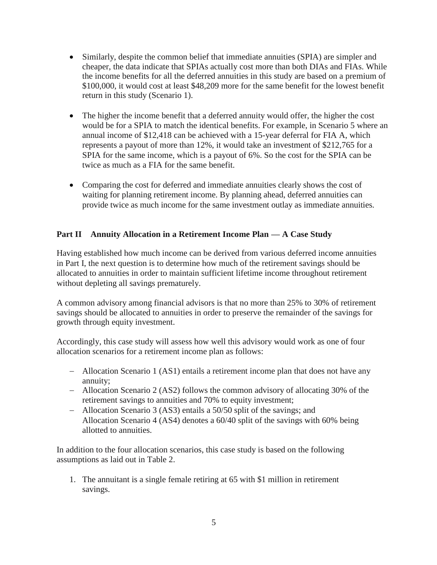- Similarly, despite the common belief that immediate annuities (SPIA) are simpler and cheaper, the data indicate that SPIAs actually cost more than both DIAs and FIAs. While the income benefits for all the deferred annuities in this study are based on a premium of \$100,000, it would cost at least \$48,209 more for the same benefit for the lowest benefit return in this study (Scenario 1).
- The higher the income benefit that a deferred annuity would offer, the higher the cost would be for a SPIA to match the identical benefits. For example, in Scenario 5 where an annual income of \$12,418 can be achieved with a 15-year deferral for FIA A, which represents a payout of more than 12%, it would take an investment of \$212,765 for a SPIA for the same income, which is a payout of 6%. So the cost for the SPIA can be twice as much as a FIA for the same benefit.
- Comparing the cost for deferred and immediate annuities clearly shows the cost of waiting for planning retirement income. By planning ahead, deferred annuities can provide twice as much income for the same investment outlay as immediate annuities.

# **Part II Annuity Allocation in a Retirement Income Plan — A Case Study**

Having established how much income can be derived from various deferred income annuities in Part I, the next question is to determine how much of the retirement savings should be allocated to annuities in order to maintain sufficient lifetime income throughout retirement without depleting all savings prematurely.

A common advisory among financial advisors is that no more than 25% to 30% of retirement savings should be allocated to annuities in order to preserve the remainder of the savings for growth through equity investment.

Accordingly, this case study will assess how well this advisory would work as one of four allocation scenarios for a retirement income plan as follows:

- Allocation Scenario 1 (AS1) entails a retirement income plan that does not have any annuity;
- Allocation Scenario 2 (AS2) follows the common advisory of allocating 30% of the retirement savings to annuities and 70% to equity investment;
- Allocation Scenario 3 (AS3) entails a 50/50 split of the savings; and Allocation Scenario 4 (AS4) denotes a 60/40 split of the savings with 60% being allotted to annuities.

In addition to the four allocation scenarios, this case study is based on the following assumptions as laid out in Table 2.

1. The annuitant is a single female retiring at 65 with \$1 million in retirement savings.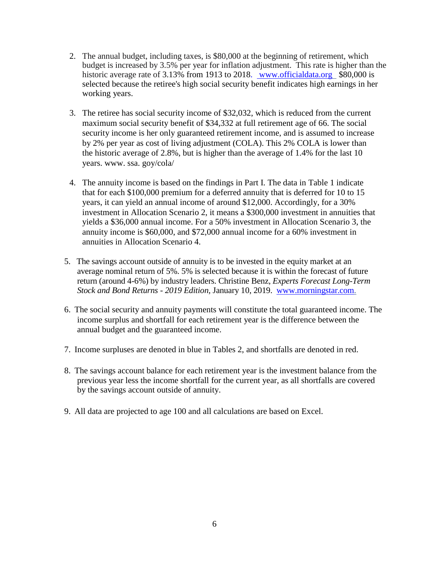- 2. The annual budget, including taxes, is \$80,000 at the beginning of retirement, which budget is increased by 3.5% per year for inflation adjustment. This rate is higher than the historic average rate of 3.13% from 1913 to 2018. [www.officialdata.org](http://www.officialdata.org/) \$80,000 is selected because the retiree's high social security benefit indicates high earnings in her working years.
- 3. The retiree has social security income of \$32,032, which is reduced from the current maximum social security benefit of \$34,332 at full retirement age of 66. The social security income is her only guaranteed retirement income, and is assumed to increase by 2% per year as cost of living adjustment (COLA). This 2% COLA is lower than the historic average of 2.8%, but is higher than the average of 1.4% for the last 10 years. www. ssa. goy/cola/
- 4. The annuity income is based on the findings in Part I. The data in Table 1 indicate that for each \$100,000 premium for a deferred annuity that is deferred for 10 to 15 years, it can yield an annual income of around \$12,000. Accordingly, for a 30% investment in Allocation Scenario 2, it means a \$300,000 investment in annuities that yields a \$36,000 annual income. For a 50% investment in Allocation Scenario 3, the annuity income is \$60,000, and \$72,000 annual income for a 60% investment in annuities in Allocation Scenario 4.
- 5. The savings account outside of annuity is to be invested in the equity market at an average nominal return of 5%. 5% is selected because it is within the forecast of future return (around 4-6%) by industry leaders. Christine Benz, *Experts Forecast Long-Term Stock and Bond Returns - 2019 Edition,* January 10, [2019.](http://2019.www.morningstar.com/) www.morningstar.com.
- 6. The social security and annuity payments will constitute the total guaranteed income. The income surplus and shortfall for each retirement year is the difference between the annual budget and the guaranteed income.
- 7. Income surpluses are denoted in blue in Tables 2, and shortfalls are denoted in red.
- 8. The savings account balance for each retirement year is the investment balance from the previous year less the income shortfall for the current year, as all shortfalls are covered by the savings account outside of annuity.
- 9. All data are projected to age 100 and all calculations are based on Excel.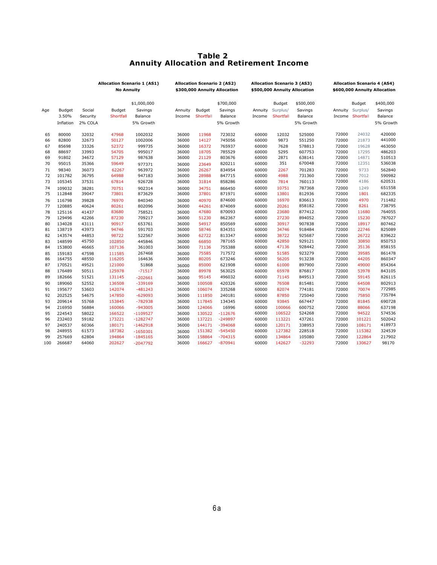#### *<u><b>Table 2 Table 2*</u>  **Annuity Allocation and Retirement Income**

|     |           | Allocation Scenario 1 (AS1)<br><b>No Annuity</b> |           | <b>Allocation Scenario 2 (AS2)</b><br>\$300,000 Annuity Allocation |         | <b>Allocation Scenario 3 (AS3)</b><br>\$500,000 Annuity Allocation |           | <b>Allocation Scenario 4 (AS4)</b><br>\$600,000 Annuity Allocation |               |           |       |                  |           |
|-----|-----------|--------------------------------------------------|-----------|--------------------------------------------------------------------|---------|--------------------------------------------------------------------|-----------|--------------------------------------------------------------------|---------------|-----------|-------|------------------|-----------|
|     |           |                                                  |           | \$1,000,000                                                        |         |                                                                    | \$700,000 |                                                                    | <b>Budget</b> | \$500,000 |       | Budget           | \$400,000 |
| Age | Budget    | Social                                           | Budget    | Savings                                                            | Annuity | Budget                                                             | Savings   | Annuity                                                            | Surplus/      | Savings   |       | Annuity Surplus/ | Savings   |
|     | 3.50%     | Security                                         | Shortfall | Balance                                                            | Income  | Shortfall                                                          | Balance   | Income                                                             | Shortfall     | Balance   |       | Income Shortfall | Balance   |
|     | Inflation | 2% COLA                                          |           | 5% Growth                                                          |         |                                                                    | 5% Growth |                                                                    |               | 5% Growth |       |                  | 5% Growth |
| 65  | 80000     | 32032                                            | 47968     | 1002032                                                            | 36000   | 11968                                                              | 723032    | 60000                                                              | 12032         | 525000    | 72000 | 24032            | 420000    |
| 66  | 82800     | 32673                                            | 50127     | 1002006                                                            | 36000   | 14127                                                              | 745056    | 60000                                                              | 9873          | 551250    | 72000 | 21873            | 441000    |
| 67  | 85698     | 33326                                            | 52372     | 999735                                                             | 36000   | 16372                                                              | 765937    | 60000                                                              | 7628          | 578813    | 72000 | 19628            | 463050    |
| 68  | 88697     | 33993                                            | 54705     | 995017                                                             | 36000   | 18705                                                              | 785529    | 60000                                                              | 5295          | 607753    | 72000 | 17295            | 486203    |
| 69  | 91802     | 34672                                            | 57129     | 987638                                                             | 36000   | 21129                                                              | 803676    | 60000                                                              | 2871          | 638141    | 72000 | 14871            | 510513    |
| 70  | 95015     | 35366                                            | 59649     | 977371                                                             | 36000   | 23649                                                              | 820211    | 60000                                                              | 351           | 670048    | 72000 | 12351            | 536038    |
| 71  | 98340     | 36073                                            | 62267     | 963972                                                             | 36000   | 26267                                                              | 834954    | 60000                                                              | 2267          | 701283    | 72000 | 9733             | 562840    |
| 72  | 101782    | 36795                                            | 64988     | 947183                                                             | 36000   | 28988                                                              | 847715    | 60000                                                              | 4988          | 731360    | 72000 | 7012             | 590982    |
| 73  | 105345    | 37531                                            | 67814     | 926728                                                             | 36000   | 31814                                                              | 858286    | 60000                                                              | 7814          | 760113    | 72000 | 4186             | 620531    |
| 74  | 109032    | 38281                                            | 70751     | 902314                                                             | 36000   | 34751                                                              | 866450    | 60000                                                              | 10751         | 787368    | 72000 | 1249             | 651558    |
| 75  | 112848    | 39047                                            | 73801     | 873629                                                             | 36000   | 37801                                                              | 871971    | 60000                                                              | 13801         | 812936    | 72000 | 1801             | 682335    |
| 76  | 116798    | 39828                                            | 76970     | 840340                                                             | 36000   | 40970                                                              | 874600    | 60000                                                              | 16970         | 836613    | 72000 | 4970             | 711482    |
| 77  | 120885    | 40624                                            | 80261     | 802096                                                             | 36000   | 44261                                                              | 874069    | 60000                                                              | 20261         | 858182    | 72000 | 8261             | 738795    |
| 78  | 125116    | 41437                                            | 83680     | 758521                                                             | 36000   | 47680                                                              | 870093    | 60000                                                              | 23680         | 877412    | 72000 | 11680            | 764055    |
| 79  | 129496    | 42266                                            | 87230     | 709217                                                             | 36000   | 51230                                                              | 862367    | 60000                                                              | 27230         | 894052    | 72000 | 15230            | 787027    |
| 80  | 134028    | 43111                                            | 90917     | 653761                                                             | 36000   | 54917                                                              | 850569    | 60000                                                              | 30917         | 907838    | 72000 | 18917            | 807462    |
| 81  | 138719    | 43973                                            | 94746     | 591703                                                             | 36000   | 58746                                                              | 834351    | 60000                                                              | 34746         | 918484    | 72000 | 22746            | 825089    |
| 82  | 143574    | 44853                                            | 98722     | 522567                                                             | 36000   | 62722                                                              | 813347    | 60000                                                              | 38722         | 925687    | 72000 | 26722            | 839622    |
| 83  | 148599    | 45750                                            | 102850    | 445846                                                             | 36000   | 66850                                                              | 787165    | 60000                                                              | 42850         | 929121    | 72000 | 30850            | 850753    |
| 84  | 153800    | 46665                                            | 107136    | 361003                                                             | 36000   | 71136                                                              | 755388    | 60000                                                              | 47136         | 928442    | 72000 | 35136            | 858155    |
| 85  | 159183    | 47598                                            | 111585    | 267468                                                             | 36000   | 75585                                                              | 717572    | 60000                                                              | 51585         | 923279    | 72000 | 39585            | 861478    |
| 86  | 164755    | 48550                                            | 116205    | 164636                                                             | 36000   | 80205                                                              | 673246    | 60000                                                              | 56205         | 913238    | 72000 | 44205            | 860347    |
| 87  | 170521    | 49521                                            | 121000    | 51868                                                              | 36000   | 85000                                                              | 621908    | 60000                                                              | 61000         | 897900    | 72000 | 49000            | 854364    |
| 88  | 176489    | 50511                                            | 125978    | $-71517$                                                           | 36000   | 89978                                                              | 563025    | 60000                                                              | 65978         | 876817    | 72000 | 53978            | 843105    |
| 89  | 182666    | 51521                                            | 131145    | $-202661$                                                          | 36000   | 95145                                                              | 496032    | 60000                                                              | 71145         | 849513    | 72000 | 59145            | 826115    |
| 90  | 189060    | 52552                                            | 136508    | $-339169$                                                          | 36000   | 100508                                                             | 420326    | 60000                                                              | 76508         | 815481    | 72000 | 64508            | 802913    |
| 91  | 195677    | 53603                                            | 142074    | $-481243$                                                          | 36000   | 106074                                                             | 335268    | 60000                                                              | 82074         | 774181    | 72000 | 70074            | 772985    |
| 92  | 202525    | 54675                                            | 147850    | $-629093$                                                          | 36000   | 111850                                                             | 240181    | 60000                                                              | 87850         | 725040    | 72000 | 75850            | 735784    |
| 93  | 209614    | 55768                                            | 153845    | -782938                                                            | 36000   | 117845                                                             | 134345    | 60000                                                              | 93845         | 667447    | 72000 | 81845            | 690728    |
| 94  | 216950    | 56884                                            | 160066    | $-943005$                                                          | 36000   | 124066                                                             | 16996     | 60000                                                              | 100066        | 600752    | 72000 | 88066            | 637198    |
| 95  | 224543    | 58022                                            | 166522    | $-1109527$                                                         | 36000   | 130522                                                             | $-112676$ | 60000                                                              | 106522        | 524268    | 72000 | 94522            | 574536    |
| 96  | 232403    | 59182                                            | 173221    | $-1282747$                                                         | 36000   | 137221                                                             | $-249897$ | 60000                                                              | 113221        | 437261    | 72000 | 101221           | 502042    |
| 97  | 240537    | 60366                                            | 180171    | $-1462918$                                                         | 36000   | 144171                                                             | $-394068$ | 60000                                                              | 120171        | 338953    | 72000 | 108171           | 418973    |
| 98  | 248955    | 61573                                            | 187382    | $-1650301$                                                         | 36000   | 151382                                                             | $-545450$ | 60000                                                              | 127382        | 228518    | 72000 | 115382           | 324539    |
| 99  | 257669    | 62804                                            | 194864    | $-1845165$                                                         | 36000   | 158864                                                             | $-704315$ | 60000                                                              | 134864        | 105080    | 72000 | 122864           | 217902    |
| 100 | 266687    | 64060                                            | 202627    | $-2047792$                                                         | 36000   | 166627                                                             | $-870941$ | 60000                                                              | 142627        | $-32293$  | 72000 | 130627           | 98170     |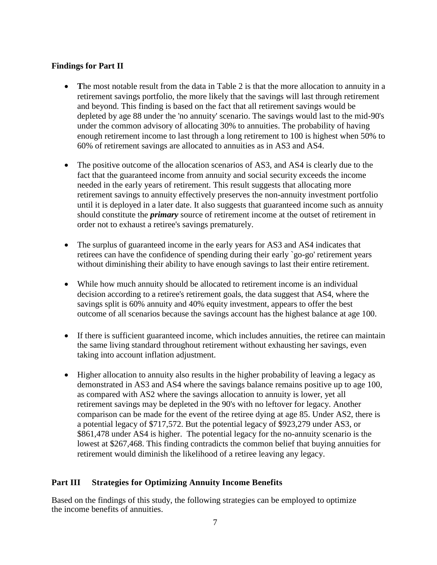#### **Findings for Part II**

- The most notable result from the data in Table 2 is that the more allocation to annuity in a retirement savings portfolio, the more likely that the savings will last through retirement and beyond. This finding is based on the fact that all retirement savings would be depleted by age 88 under the 'no annuity' scenario. The savings would last to the mid-90's under the common advisory of allocating 30% to annuities. The probability of having enough retirement income to last through a long retirement to 100 is highest when 50% to 60% of retirement savings are allocated to annuities as in AS3 and AS4.
- The positive outcome of the allocation scenarios of AS3, and AS4 is clearly due to the fact that the guaranteed income from annuity and social security exceeds the income needed in the early years of retirement. This result suggests that allocating more retirement savings to annuity effectively preserves the non-annuity investment portfolio until it is deployed in a later date. It also suggests that guaranteed income such as annuity should constitute the *primary* source of retirement income at the outset of retirement in order not to exhaust a retiree's savings prematurely.
- The surplus of guaranteed income in the early years for AS3 and AS4 indicates that retirees can have the confidence of spending during their early `go-go' retirement years without diminishing their ability to have enough savings to last their entire retirement.
- While how much annuity should be allocated to retirement income is an individual decision according to a retiree's retirement goals, the data suggest that AS4, where the savings split is 60% annuity and 40% equity investment, appears to offer the best outcome of all scenarios because the savings account has the highest balance at age 100.
- If there is sufficient guaranteed income, which includes annuities, the retiree can maintain the same living standard throughout retirement without exhausting her savings, even taking into account inflation adjustment.
- Higher allocation to annuity also results in the higher probability of leaving a legacy as demonstrated in AS3 and AS4 where the savings balance remains positive up to age 100, as compared with AS2 where the savings allocation to annuity is lower, yet all retirement savings may be depleted in the 90's with no leftover for legacy. Another comparison can be made for the event of the retiree dying at age 85. Under AS2, there is a potential legacy of \$717,572. But the potential legacy of \$923,279 under AS3, or \$861,478 under AS4 is higher. The potential legacy for the no-annuity scenario is the lowest at \$267,468. This finding contradicts the common belief that buying annuities for retirement would diminish the likelihood of a retiree leaving any legacy.

### **Part III Strategies for Optimizing Annuity Income Benefits**

Based on the findings of this study, the following strategies can be employed to optimize the income benefits of annuities.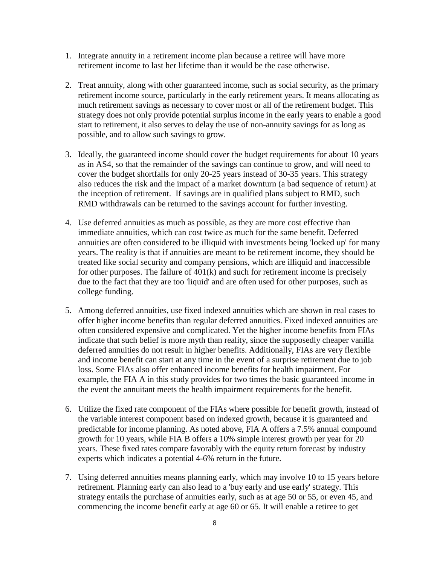- 1. Integrate annuity in a retirement income plan because a retiree will have more retirement income to last her lifetime than it would be the case otherwise.
- 2. Treat annuity, along with other guaranteed income, such as social security, as the primary retirement income source, particularly in the early retirement years. It means allocating as much retirement savings as necessary to cover most or all of the retirement budget. This strategy does not only provide potential surplus income in the early years to enable a good start to retirement, it also serves to delay the use of non-annuity savings for as long as possible, and to allow such savings to grow.
- 3. Ideally, the guaranteed income should cover the budget requirements for about 10 years as in AS4, so that the remainder of the savings can continue to grow, and will need to cover the budget shortfalls for only 20-25 years instead of 30-35 years. This strategy also reduces the risk and the impact of a market downturn (a bad sequence of return) at the inception of retirement. If savings are in qualified plans subject to RMD, such RMD withdrawals can be returned to the savings account for further investing.
- 4. Use deferred annuities as much as possible, as they are more cost effective than immediate annuities, which can cost twice as much for the same benefit. Deferred annuities are often considered to be illiquid with investments being 'locked up' for many years. The reality is that if annuities are meant to be retirement income, they should be treated like social security and company pensions, which are illiquid and inaccessible for other purposes. The failure of  $401(k)$  and such for retirement income is precisely due to the fact that they are too 'liquid' and are often used for other purposes, such as college funding.
- 5. Among deferred annuities, use fixed indexed annuities which are shown in real cases to offer higher income benefits than regular deferred annuities. Fixed indexed annuities are often considered expensive and complicated. Yet the higher income benefits from FIAs indicate that such belief is more myth than reality, since the supposedly cheaper vanilla deferred annuities do not result in higher benefits. Additionally, FIAs are very flexible and income benefit can start at any time in the event of a surprise retirement due to job loss. Some FIAs also offer enhanced income benefits for health impairment. For example, the FIA A in this study provides for two times the basic guaranteed income in the event the annuitant meets the health impairment requirements for the benefit.
- 6. Utilize the fixed rate component of the FIAs where possible for benefit growth, instead of the variable interest component based on indexed growth, because it is guaranteed and predictable for income planning. As noted above, FIA A offers a 7.5% annual compound growth for 10 years, while FIA B offers a 10% simple interest growth per year for 20 years. These fixed rates compare favorably with the equity return forecast by industry experts which indicates a potential 4-6% return in the future.
- 7. Using deferred annuities means planning early, which may involve 10 to 15 years before retirement. Planning early can also lead to a 'buy early and use early' strategy. This strategy entails the purchase of annuities early, such as at age 50 or 55, or even 45, and commencing the income benefit early at age 60 or 65. It will enable a retiree to get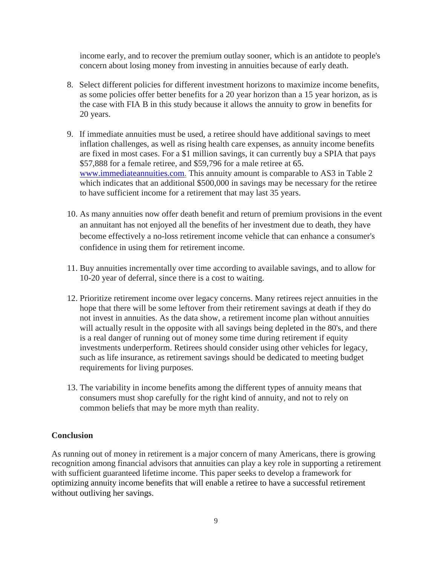income early, and to recover the premium outlay sooner, which is an antidote to people's concern about losing money from investing in annuities because of early death.

- 8. Select different policies for different investment horizons to maximize income benefits, as some policies offer better benefits for a 20 year horizon than a 15 year horizon, as is the case with FIA B in this study because it allows the annuity to grow in benefits for 20 years.
- 9. If immediate annuities must be used, a retiree should have additional savings to meet inflation challenges, as well as rising health care expenses, as annuity income benefits are fixed in most cases. For a \$1 million savings, it can currently buy a SPIA that pays \$57,888 for a female retiree, and \$59,796 for a male retiree at [65.](http://65.www.immediateannuities.com/)  www.immediateannuities.com. This annuity amount is comparable to AS3 in Table 2 which indicates that an additional \$500,000 in savings may be necessary for the retiree to have sufficient income for a retirement that may last 35 years.
- 10. As many annuities now offer death benefit and return of premium provisions in the event an annuitant has not enjoyed all the benefits of her investment due to death, they have become effectively a no-loss retirement income vehicle that can enhance a consumer's confidence in using them for retirement income.
- 11. Buy annuities incrementally over time according to available savings, and to allow for 10-20 year of deferral, since there is a cost to waiting.
- 12. Prioritize retirement income over legacy concerns. Many retirees reject annuities in the hope that there will be some leftover from their retirement savings at death if they do not invest in annuities. As the data show, a retirement income plan without annuities will actually result in the opposite with all savings being depleted in the 80's, and there is a real danger of running out of money some time during retirement if equity investments underperform. Retirees should consider using other vehicles for legacy, such as life insurance, as retirement savings should be dedicated to meeting budget requirements for living purposes.
- 13. The variability in income benefits among the different types of annuity means that consumers must shop carefully for the right kind of annuity, and not to rely on common beliefs that may be more myth than reality.

#### **Conclusion**

As running out of money in retirement is a major concern of many Americans, there is growing recognition among financial advisors that annuities can play a key role in supporting a retirement with sufficient guaranteed lifetime income. This paper seeks to develop a framework for optimizing annuity income benefits that will enable a retiree to have a successful retirement without outliving her savings.